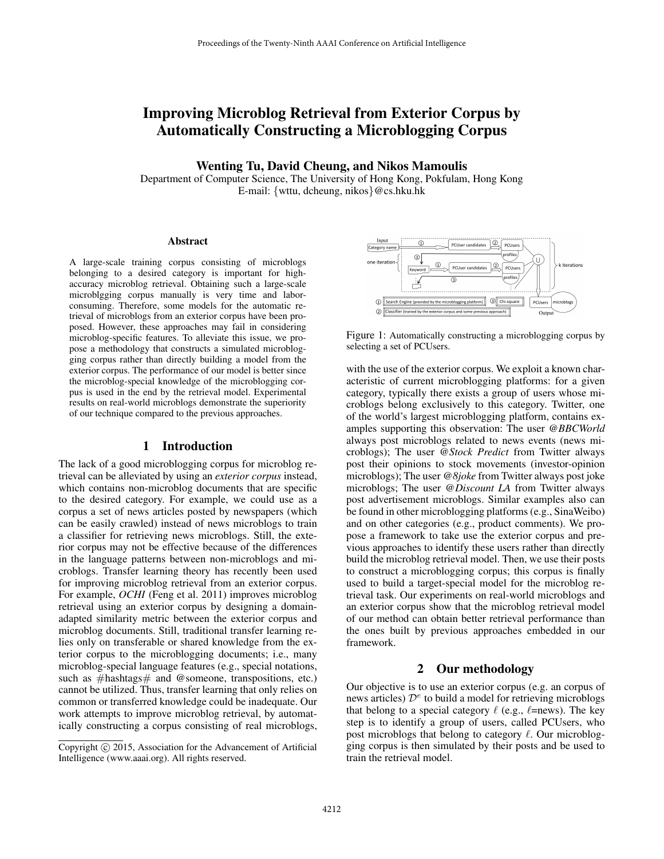# Improving Microblog Retrieval from Exterior Corpus by Automatically Constructing a Microblogging Corpus

Wenting Tu, David Cheung, and Nikos Mamoulis

Department of Computer Science, The University of Hong Kong, Pokfulam, Hong Kong E-mail: {wttu, dcheung, nikos}@cs.hku.hk

#### Abstract

A large-scale training corpus consisting of microblogs belonging to a desired category is important for highaccuracy microblog retrieval. Obtaining such a large-scale microblgging corpus manually is very time and laborconsuming. Therefore, some models for the automatic retrieval of microblogs from an exterior corpus have been proposed. However, these approaches may fail in considering microblog-specific features. To alleviate this issue, we propose a methodology that constructs a simulated microblogging corpus rather than directly building a model from the exterior corpus. The performance of our model is better since the microblog-special knowledge of the microblogging corpus is used in the end by the retrieval model. Experimental results on real-world microblogs demonstrate the superiority of our technique compared to the previous approaches.

## 1 Introduction

The lack of a good microblogging corpus for microblog retrieval can be alleviated by using an *exterior corpus* instead, which contains non-microblog documents that are specific to the desired category. For example, we could use as a corpus a set of news articles posted by newspapers (which can be easily crawled) instead of news microblogs to train a classifier for retrieving news microblogs. Still, the exterior corpus may not be effective because of the differences in the language patterns between non-microblogs and microblogs. Transfer learning theory has recently been used for improving microblog retrieval from an exterior corpus. For example, *OCHI* (Feng et al. 2011) improves microblog retrieval using an exterior corpus by designing a domainadapted similarity metric between the exterior corpus and microblog documents. Still, traditional transfer learning relies only on transferable or shared knowledge from the exterior corpus to the microblogging documents; i.e., many microblog-special language features (e.g., special notations, such as  $\#hashtags \#$  and @someone, transpositions, etc.) cannot be utilized. Thus, transfer learning that only relies on common or transferred knowledge could be inadequate. Our work attempts to improve microblog retrieval, by automatically constructing a corpus consisting of real microblogs,



Figure 1: Automatically constructing a microblogging corpus by selecting a set of PCUsers.

with the use of the exterior corpus. We exploit a known characteristic of current microblogging platforms: for a given category, typically there exists a group of users whose microblogs belong exclusively to this category. Twitter, one of the world's largest microblogging platform, contains examples supporting this observation: The user *@BBCWorld* always post microblogs related to news events (news microblogs); The user *@Stock Predict* from Twitter always post their opinions to stock movements (investor-opinion microblogs); The user *@8joke* from Twitter always post joke microblogs; The user *@Discount LA* from Twitter always post advertisement microblogs. Similar examples also can be found in other microblogging platforms (e.g., SinaWeibo) and on other categories (e.g., product comments). We propose a framework to take use the exterior corpus and previous approaches to identify these users rather than directly build the microblog retrieval model. Then, we use their posts to construct a microblogging corpus; this corpus is finally used to build a target-special model for the microblog retrieval task. Our experiments on real-world microblogs and an exterior corpus show that the microblog retrieval model of our method can obtain better retrieval performance than the ones built by previous approaches embedded in our framework. Proceedings of the Twenty-Ninth AAAI Conference on Artificial Intelligence<br> **EXECUTE AT AI CONSECUTE AT AI CONFECUTE AT AI CONSECUTE AT AI CONSECUTE AND CONSECUTE AND ANN CONFECUTE AT AI CONSECUTE CONSECUTE CONSECUTE CONS** 

## 2 Our methodology

Our objective is to use an exterior corpus (e.g. an corpus of news articles)  $\mathcal{D}^e$  to build a model for retrieving microblogs that belong to a special category  $\ell$  (e.g.,  $\ell$ =news). The key step is to identify a group of users, called PCUsers, who post microblogs that belong to category  $\ell$ . Our microblogging corpus is then simulated by their posts and be used to train the retrieval model.

Copyright © 2015, Association for the Advancement of Artificial Intelligence (www.aaai.org). All rights reserved.